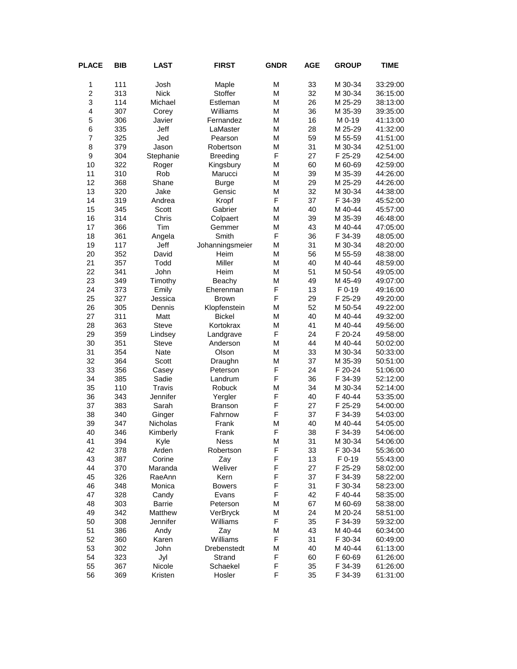| <b>PLACE</b>            | <b>BIB</b> | <b>LAST</b>     | <b>FIRST</b>    | <b>GNDR</b> | <b>AGE</b> | <b>GROUP</b> | <b>TIME</b> |
|-------------------------|------------|-----------------|-----------------|-------------|------------|--------------|-------------|
| 1                       | 111        | Josh            | Maple           | M           | 33         | M 30-34      | 33:29:00    |
| $\overline{2}$          | 313        | <b>Nick</b>     | Stoffer         | M           | 32         | M 30-34      | 36:15:00    |
| 3                       | 114        | Michael         | Estleman        | М           | 26         | M 25-29      | 38:13:00    |
| $\overline{\mathbf{4}}$ | 307        | Corey           | Williams        | M           | 36         | M 35-39      | 39:35:00    |
| 5                       | 306        | Javier          | Fernandez       | M           | 16         | M 0-19       | 41:13:00    |
| 6                       | 335        | Jeff            | LaMaster        | M           | 28         | M 25-29      | 41:32:00    |
| $\overline{7}$          | 325        | Jed             | Pearson         | М           | 59         | M 55-59      | 41:51:00    |
| 8                       | 379        | Jason           | Robertson       | M           | 31         | M 30-34      | 42:51:00    |
| 9                       | 304        | Stephanie       | <b>Breeding</b> | F           | 27         | F 25-29      | 42:54:00    |
| 10                      | 322        | Roger           | Kingsbury       | M           | 60         | M 60-69      | 42:59:00    |
| 11                      | 310        | Rob             | Marucci         | M           | 39         | M 35-39      | 44:26:00    |
| 12                      | 368        | Shane           | <b>Burge</b>    | M           | 29         | M 25-29      | 44:26:00    |
| 13                      | 320        | Jake            | Gensic          | M           | 32         | M 30-34      | 44:38:00    |
| 14                      | 319        | Andrea          | Kropf           | F           | 37         | F 34-39      | 45:52:00    |
| 15                      | 345        | Scott           | Gabrier         | M           | 40         | M 40-44      | 45:57:00    |
| 16                      | 314        | Chris           | Colpaert        | M           | 39         | M 35-39      | 46:48:00    |
| 17                      | 366        | Tim             | Gemmer          | M           | 43         | M 40-44      | 47:05:00    |
| 18                      | 361        | Angela          | Smith           | F           | 36         | F 34-39      | 48:05:00    |
| 19                      | 117        | Jeff            | Johanningsmeier | M           | 31         | M 30-34      | 48:20:00    |
| 20                      | 352        | David           | Heim            | M           | 56         | M 55-59      | 48:38:00    |
| 21                      | 357        | Todd            | Miller          | M           | 40         | M 40-44      | 48:59:00    |
| 22                      | 341        | John            | Heim            | M           | 51         | M 50-54      | 49:05:00    |
| 23                      | 349        | Timothy         | Beachy          | M           | 49         | M 45-49      | 49:07:00    |
| 24                      | 373        | Emily           | Eherenman       | F           | 13         | F 0-19       | 49:16:00    |
| 25                      | 327        | Jessica         | <b>Brown</b>    | F           | 29         | F 25-29      | 49:20:00    |
| 26                      | 305        | Dennis          | Klopfenstein    | M           | 52         | M 50-54      | 49:22:00    |
| 27                      | 311        | Matt            | <b>Bickel</b>   | M           | 40         | M 40-44      | 49:32:00    |
| 28                      | 363        | <b>Steve</b>    | Kortokrax       | M           | 41         | M 40-44      | 49:56:00    |
| 29                      | 359        | Lindsey         | Landgrave       | F           | 24         | F 20-24      | 49:58:00    |
| 30                      | 351        | <b>Steve</b>    | Anderson        | M           | 44         | M 40-44      | 50:02:00    |
| 31                      | 354        | Nate            | Olson           | M           | 33         | M 30-34      | 50:33:00    |
| 32                      | 364        | Scott           | Draughn         | М           | 37         | M 35-39      | 50:51:00    |
| 33                      | 356        | Casey           | Peterson        | F           | 24         | F 20-24      | 51:06:00    |
| 34                      | 385        | Sadie           | Landrum         | F           | 36         | F 34-39      | 52:12:00    |
| 35                      | 110        | Travis          | Robuck          | M           | 34         | M 30-34      | 52:14:00    |
| 36                      | 343        | <b>Jennifer</b> | Yergler         | F           | 40         | F40-44       | 53:35:00    |
| 37                      | 383        | Sarah           | Branson         | F           | 27         | F 25-29      | 54:00:00    |
| 38                      | 340        | Ginger          | Fahrnow         | F           | 37         | F 34-39      | 54:03:00    |
| 39                      | 347        | Nicholas        | Frank           | M           | 40         | M 40-44      | 54:05:00    |
| 40                      | 346        | Kimberly        | Frank           | F           | 38         | F 34-39      | 54:06:00    |
| 41                      | 394        | Kyle            | Ness            | М           | 31         | M 30-34      | 54:06:00    |
| 42                      | 378        | Arden           | Robertson       | F           | 33         | F 30-34      | 55:36:00    |
| 43                      | 387        | Corine          | Zay             | F           | 13         | F 0-19       | 55:43:00    |
| 44                      | 370        | Maranda         | Weliver         | F           | 27         | F 25-29      | 58:02:00    |
| 45                      | 326        | RaeAnn          | Kern            | F           | 37         | F 34-39      | 58:22:00    |
| 46                      | 348        | Monica          | <b>Bowers</b>   | F           | 31         | F 30-34      | 58:23:00    |
| 47                      | 328        | Candy           | Evans           | F           | 42         | F40-44       | 58:35:00    |
| 48                      | 303        | Barrie          | Peterson        | М           | 67         | M 60-69      | 58:38:00    |
| 49                      | 342        | Matthew         | VerBryck        | М           | 24         | M 20-24      | 58:51:00    |
| 50                      | 308        | Jennifer        | Williams        | F           | 35         | F 34-39      | 59:32:00    |
| 51                      | 386        | Andy            | Zay             | M           | 43         | M 40-44      | 60:34:00    |
| 52                      | 360        | Karen           | Williams        | F           | 31         | F 30-34      | 60:49:00    |
| 53                      | 302        | John            | Drebenstedt     | М           | 40         | M 40-44      | 61:13:00    |
| 54                      | 323        | Jyl             | Strand          | F           | 60         | F 60-69      | 61:26:00    |
| 55                      | 367        | Nicole          | Schaekel        | F           | 35         | F 34-39      | 61:26:00    |
| 56                      | 369        | Kristen         | Hosler          | F           | 35         | F 34-39      | 61:31:00    |